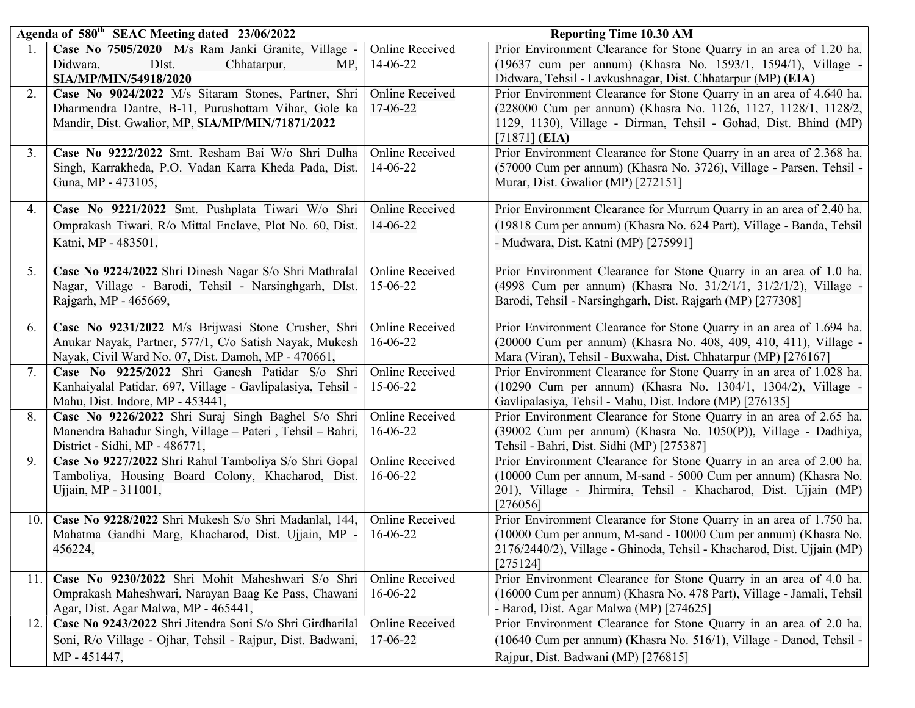|      | Agenda of 580 <sup>th</sup> SEAC Meeting dated 23/06/2022                                                       |                                    | <b>Reporting Time 10.30 AM</b>                                                                                                  |  |
|------|-----------------------------------------------------------------------------------------------------------------|------------------------------------|---------------------------------------------------------------------------------------------------------------------------------|--|
|      | Case No 7505/2020 M/s Ram Janki Granite, Village -                                                              | Online Received                    | Prior Environment Clearance for Stone Quarry in an area of 1.20 ha.                                                             |  |
|      | Chhatarpur,<br>Didwara,<br>DIst.<br>MP,                                                                         | 14-06-22                           | (19637 cum per annum) (Khasra No. 1593/1, 1594/1), Village -                                                                    |  |
|      | SIA/MP/MIN/54918/2020                                                                                           |                                    | Didwara, Tehsil - Lavkushnagar, Dist. Chhatarpur (MP) (EIA)                                                                     |  |
| 2.   | Case No 9024/2022 M/s Sitaram Stones, Partner, Shri                                                             | <b>Online Received</b>             | Prior Environment Clearance for Stone Quarry in an area of 4.640 ha.                                                            |  |
|      | Dharmendra Dantre, B-11, Purushottam Vihar, Gole ka                                                             | 17-06-22                           | (228000 Cum per annum) (Khasra No. 1126, 1127, 1128/1, 1128/2,                                                                  |  |
|      | Mandir, Dist. Gwalior, MP, SIA/MP/MIN/71871/2022                                                                |                                    | 1129, 1130), Village - Dirman, Tehsil - Gohad, Dist. Bhind (MP)                                                                 |  |
|      |                                                                                                                 |                                    | $[71871]$ (EIA)                                                                                                                 |  |
| 3.   | Case No 9222/2022 Smt. Resham Bai W/o Shri Dulha<br>Singh, Karrakheda, P.O. Vadan Karra Kheda Pada, Dist.       | <b>Online Received</b><br>14-06-22 | Prior Environment Clearance for Stone Quarry in an area of 2.368 ha.                                                            |  |
|      | Guna, MP - 473105,                                                                                              |                                    | (57000 Cum per annum) (Khasra No. 3726), Village - Parsen, Tehsil -<br>Murar, Dist. Gwalior (MP) [272151]                       |  |
|      |                                                                                                                 |                                    |                                                                                                                                 |  |
| 4.   | Case No 9221/2022 Smt. Pushplata Tiwari W/o Shri                                                                | <b>Online Received</b>             | Prior Environment Clearance for Murrum Quarry in an area of 2.40 ha.                                                            |  |
|      | Omprakash Tiwari, R/o Mittal Enclave, Plot No. 60, Dist.                                                        | 14-06-22                           | (19818 Cum per annum) (Khasra No. 624 Part), Village - Banda, Tehsil                                                            |  |
|      | Katni, MP - 483501,                                                                                             |                                    | - Mudwara, Dist. Katni (MP) [275991]                                                                                            |  |
|      |                                                                                                                 | <b>Online Received</b>             | Prior Environment Clearance for Stone Quarry in an area of 1.0 ha.                                                              |  |
| 5.   | Case No 9224/2022 Shri Dinesh Nagar S/o Shri Mathralal<br>Nagar, Village - Barodi, Tehsil - Narsinghgarh, DIst. | 15-06-22                           | (4998 Cum per annum) (Khasra No. 31/2/1/1, 31/2/1/2), Village -                                                                 |  |
|      | Rajgarh, MP - 465669,                                                                                           |                                    | Barodi, Tehsil - Narsinghgarh, Dist. Rajgarh (MP) [277308]                                                                      |  |
|      |                                                                                                                 |                                    |                                                                                                                                 |  |
| 6.   | Case No 9231/2022 M/s Brijwasi Stone Crusher, Shri                                                              | <b>Online Received</b>             | Prior Environment Clearance for Stone Quarry in an area of 1.694 ha.                                                            |  |
|      | Anukar Nayak, Partner, 577/1, C/o Satish Nayak, Mukesh                                                          | 16-06-22                           | (20000 Cum per annum) (Khasra No. 408, 409, 410, 411), Village -                                                                |  |
|      | Nayak, Civil Ward No. 07, Dist. Damoh, MP - 470661,                                                             |                                    | Mara (Viran), Tehsil - Buxwaha, Dist. Chhatarpur (MP) [276167]                                                                  |  |
| 7.   | Case No 9225/2022 Shri Ganesh Patidar S/o Shri                                                                  | <b>Online Received</b>             | Prior Environment Clearance for Stone Quarry in an area of 1.028 ha.                                                            |  |
|      | Kanhaiyalal Patidar, 697, Village - Gavlipalasiya, Tehsil -                                                     | 15-06-22                           | (10290 Cum per annum) (Khasra No. 1304/1, 1304/2), Village -                                                                    |  |
| 8.   | Mahu, Dist. Indore, MP - 453441,<br>Case No 9226/2022 Shri Suraj Singh Baghel S/o Shri                          | <b>Online Received</b>             | Gavlipalasiya, Tehsil - Mahu, Dist. Indore (MP) [276135]<br>Prior Environment Clearance for Stone Quarry in an area of 2.65 ha. |  |
|      | Manendra Bahadur Singh, Village - Pateri, Tehsil - Bahri,                                                       | 16-06-22                           | (39002 Cum per annum) (Khasra No. 1050(P)), Village - Dadhiya,                                                                  |  |
|      | District - Sidhi, MP - 486771,                                                                                  |                                    | Tehsil - Bahri, Dist. Sidhi (MP) [275387]                                                                                       |  |
| 9.   | Case No 9227/2022 Shri Rahul Tamboliya S/o Shri Gopal                                                           | Online Received                    | Prior Environment Clearance for Stone Quarry in an area of 2.00 ha.                                                             |  |
|      | Tamboliya, Housing Board Colony, Khacharod, Dist.                                                               | 16-06-22                           | (10000 Cum per annum, M-sand - 5000 Cum per annum) (Khasra No.                                                                  |  |
|      | Ujjain, MP - 311001,                                                                                            |                                    | 201), Village - Jhirmira, Tehsil - Khacharod, Dist. Ujjain (MP)                                                                 |  |
|      |                                                                                                                 |                                    | [276056]                                                                                                                        |  |
| 10.1 | Case No 9228/2022 Shri Mukesh S/o Shri Madanlal, 144,                                                           | <b>Online Received</b>             | Prior Environment Clearance for Stone Quarry in an area of 1.750 ha.                                                            |  |
|      | Mahatma Gandhi Marg, Khacharod, Dist. Ujjain, MP -                                                              | 16-06-22                           | (10000 Cum per annum, M-sand - 10000 Cum per annum) (Khasra No.                                                                 |  |
|      | 456224,                                                                                                         |                                    | 2176/2440/2), Village - Ghinoda, Tehsil - Khacharod, Dist. Ujjain (MP)<br>[275124]                                              |  |
| 11.  | Case No 9230/2022 Shri Mohit Maheshwari S/o Shri                                                                | Online Received                    | Prior Environment Clearance for Stone Quarry in an area of 4.0 ha.                                                              |  |
|      | Omprakash Maheshwari, Narayan Baag Ke Pass, Chawani                                                             | 16-06-22                           | (16000 Cum per annum) (Khasra No. 478 Part), Village - Jamali, Tehsil                                                           |  |
|      | Agar, Dist. Agar Malwa, MP - 465441,                                                                            |                                    | - Barod, Dist. Agar Malwa (MP) [274625]                                                                                         |  |
| 12.  | Case No 9243/2022 Shri Jitendra Soni S/o Shri Girdharilal                                                       | <b>Online Received</b>             | Prior Environment Clearance for Stone Quarry in an area of 2.0 ha.                                                              |  |
|      | Soni, R/o Village - Ojhar, Tehsil - Rajpur, Dist. Badwani,                                                      | 17-06-22                           | (10640 Cum per annum) (Khasra No. 516/1), Village - Danod, Tehsil -                                                             |  |
|      | MP - 451447,                                                                                                    |                                    | Rajpur, Dist. Badwani (MP) [276815]                                                                                             |  |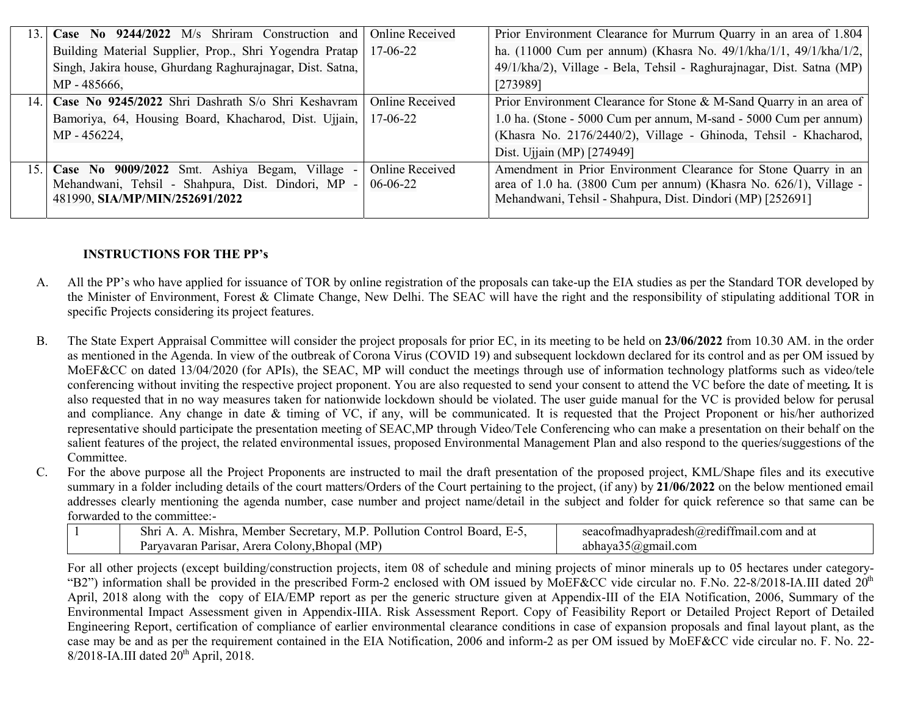| 13. | Case No 9244/2022 M/s Shriram Construction and            | Online Received        | Prior Environment Clearance for Murrum Quarry in an area of 1.804     |
|-----|-----------------------------------------------------------|------------------------|-----------------------------------------------------------------------|
|     | Building Material Supplier, Prop., Shri Yogendra Pratap   | 17-06-22               | ha. (11000 Cum per annum) (Khasra No. 49/1/kha/1/1, 49/1/kha/1/2,     |
|     | Singh, Jakira house, Ghurdang Raghurajnagar, Dist. Satna, |                        | 49/1/kha/2), Village - Bela, Tehsil - Raghurajnagar, Dist. Satna (MP) |
|     | MP - 485666,                                              |                        | [273989]                                                              |
|     | 14. Case No 9245/2022 Shri Dashrath S/o Shri Keshavram    | Online Received        | Prior Environment Clearance for Stone & M-Sand Quarry in an area of   |
|     | Bamoriya, 64, Housing Board, Khacharod, Dist. Ujjain,     | 17-06-22               | 1.0 ha. (Stone - 5000 Cum per annum, M-sand - 5000 Cum per annum)     |
|     | MP - 456224,                                              |                        | (Khasra No. 2176/2440/2), Village - Ghinoda, Tehsil - Khacharod,      |
|     |                                                           |                        | Dist. Ujjain (MP) [274949]                                            |
|     | 15. Case No 9009/2022 Smt. Ashiya Begam, Village -        | <b>Online Received</b> | Amendment in Prior Environment Clearance for Stone Quarry in an       |
|     | Mehandwani, Tehsil - Shahpura, Dist. Dindori, MP -        | 06-06-22               | area of 1.0 ha. (3800 Cum per annum) (Khasra No. 626/1), Village -    |
|     | 481990, SIA/MP/MIN/252691/2022                            |                        | Mehandwani, Tehsil - Shahpura, Dist. Dindori (MP) [252691]            |
|     |                                                           |                        |                                                                       |

## INSTRUCTIONS FOR THE PP's

- A. All the PP's who have applied for issuance of TOR by online registration of the proposals can take-up the EIA studies as per the Standard TOR developed by the Minister of Environment, Forest & Climate Change, New Delhi. The SEAC will have the right and the responsibility of stipulating additional TOR in specific Projects considering its project features.
- B. The State Expert Appraisal Committee will consider the project proposals for prior EC, in its meeting to be held on 23/06/2022 from 10.30 AM. in the order as mentioned in the Agenda. In view of the outbreak of Corona Virus (COVID 19) and subsequent lockdown declared for its control and as per OM issued by MoEF&CC on dated 13/04/2020 (for APIs), the SEAC, MP will conduct the meetings through use of information technology platforms such as video/tele conferencing without inviting the respective project proponent. You are also requested to send your consent to attend the VC before the date of meeting. It is also requested that in no way measures taken for nationwide lockdown should be violated. The user guide manual for the VC is provided below for perusal and compliance. Any change in date & timing of VC, if any, will be communicated. It is requested that the Project Proponent or his/her authorized representative should participate the presentation meeting of SEAC,MP through Video/Tele Conferencing who can make a presentation on their behalf on the salient features of the project, the related environmental issues, proposed Environmental Management Plan and also respond to the queries/suggestions of the Committee.
- C. For the above purpose all the Project Proponents are instructed to mail the draft presentation of the proposed project, KML/Shape files and its executive summary in a folder including details of the court matters/Orders of the Court pertaining to the project, (if any) by 21/06/2022 on the below mentioned email addresses clearly mentioning the agenda number, case number and project name/detail in the subject and folder for quick reference so that same can be forwarded to the committee:-

| Pollution<br>Member<br>M P<br>Mishra.<br>Secretary.<br>Board.<br>5hr.<br>Control'  | $\cdots$<br>seaco<br>adhvapradesh $\omega$ re<br>and at<br>com       |
|------------------------------------------------------------------------------------|----------------------------------------------------------------------|
| $AB$ <sub>O</sub> Bhopal (MP)<br>Parisar<br>$\sim$ olon $v$<br>Arera<br>Parvavaran | 7) ຕຸກາດ 1<br>mail.com<br>abha<br>`ava<br>$\mathcal{L}(\mathcal{U})$ |

For all other projects (except building/construction projects, item 08 of schedule and mining projects of minor minerals up to 05 hectares under category- "B2") information shall be provided in the prescribed Form-2 enclosed with OM issued by MoEF&CC vide circular no. F.No. 22-8/2018-IA.III dated  $20<sup>th</sup>$ April, 2018 along with the copy of EIA/EMP report as per the generic structure given at Appendix-III of the EIA Notification, 2006, Summary of the Environmental Impact Assessment given in Appendix-IIIA. Risk Assessment Report. Copy of Feasibility Report or Detailed Project Report of Detailed Engineering Report, certification of compliance of earlier environmental clearance conditions in case of expansion proposals and final layout plant, as the case may be and as per the requirement contained in the EIA Notification, 2006 and inform-2 as per OM issued by MoEF&CC vide circular no. F. No. 22-  $8/2018$ -IA.III dated  $20<sup>th</sup>$  April, 2018.